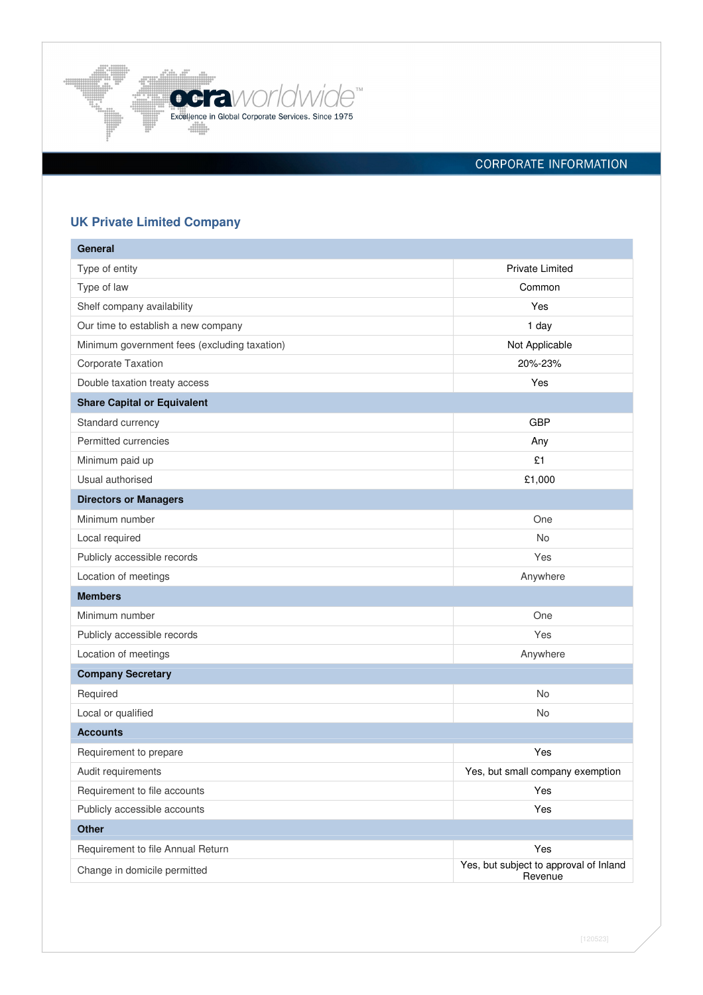

# CORPORATE INFORMATION

# **UK Private Limited Company**

| <b>General</b>                               |                                                   |
|----------------------------------------------|---------------------------------------------------|
| Type of entity                               | <b>Private Limited</b>                            |
| Type of law                                  | Common                                            |
| Shelf company availability                   | Yes                                               |
| Our time to establish a new company          | 1 day                                             |
| Minimum government fees (excluding taxation) | Not Applicable                                    |
| Corporate Taxation                           | 20%-23%                                           |
| Double taxation treaty access                | Yes                                               |
| <b>Share Capital or Equivalent</b>           |                                                   |
| Standard currency                            | <b>GBP</b>                                        |
| Permitted currencies                         | Any                                               |
| Minimum paid up                              | £1                                                |
| Usual authorised                             | £1,000                                            |
| <b>Directors or Managers</b>                 |                                                   |
| Minimum number                               | One                                               |
| Local required                               | <b>No</b>                                         |
| Publicly accessible records                  | Yes                                               |
| Location of meetings                         | Anywhere                                          |
| <b>Members</b>                               |                                                   |
| Minimum number                               | One                                               |
| Publicly accessible records                  | Yes                                               |
| Location of meetings                         | Anywhere                                          |
| <b>Company Secretary</b>                     |                                                   |
| Required                                     | No                                                |
| Local or qualified                           | No                                                |
| <b>Accounts</b>                              |                                                   |
| Requirement to prepare                       | Yes                                               |
| Audit requirements                           | Yes, but small company exemption                  |
| Requirement to file accounts                 | Yes                                               |
| Publicly accessible accounts                 | Yes                                               |
| Other                                        |                                                   |
| Requirement to file Annual Return            | Yes                                               |
| Change in domicile permitted                 | Yes, but subject to approval of Inland<br>Revenue |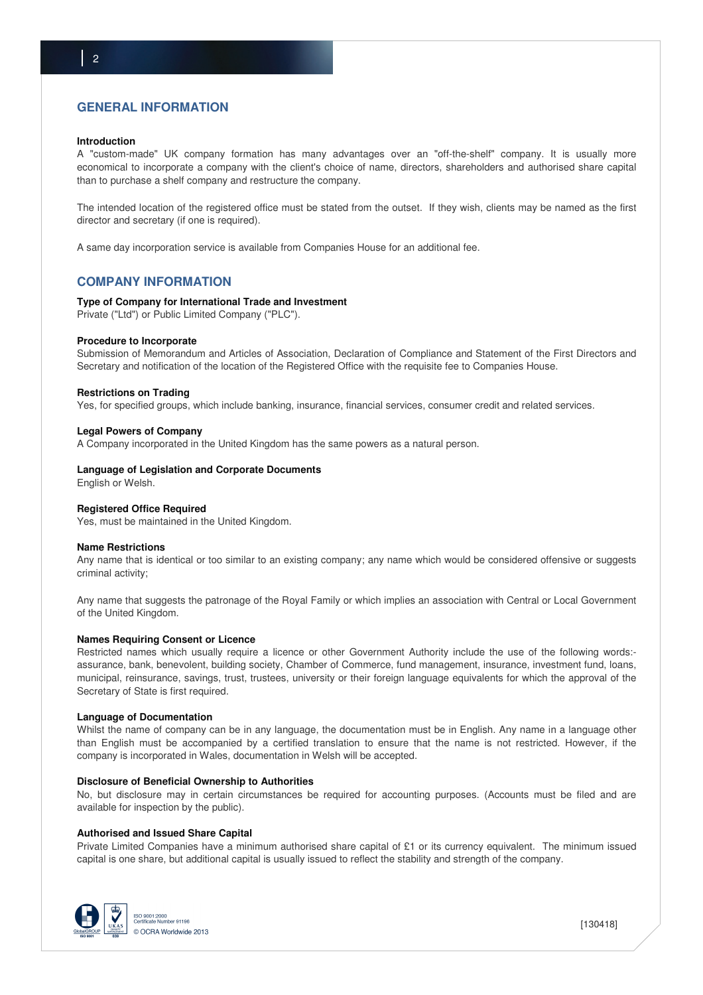# **GENERAL INFORMATION**

#### **Introduction**

A "custom-made" UK company formation has many advantages over an "off-the-shelf" company. It is usually more economical to incorporate a company with the client's choice of name, directors, shareholders and authorised share capital than to purchase a shelf company and restructure the company.

The intended location of the registered office must be stated from the outset. If they wish, clients may be named as the first director and secretary (if one is required).

A same day incorporation service is available from Companies House for an additional fee.

# **COMPANY INFORMATION**

#### **Type of Company for International Trade and Investment**

Private ("Ltd") or Public Limited Company ("PLC").

# **Procedure to Incorporate**

Submission of Memorandum and Articles of Association, Declaration of Compliance and Statement of the First Directors and Secretary and notification of the location of the Registered Office with the requisite fee to Companies House.

#### **Restrictions on Trading**

Yes, for specified groups, which include banking, insurance, financial services, consumer credit and related services.

# **Legal Powers of Company**

A Company incorporated in the United Kingdom has the same powers as a natural person.

#### **Language of Legislation and Corporate Documents**

English or Welsh.

#### **Registered Office Required**

Yes, must be maintained in the United Kingdom.

# **Name Restrictions**

Any name that is identical or too similar to an existing company; any name which would be considered offensive or suggests criminal activity;

Any name that suggests the patronage of the Royal Family or which implies an association with Central or Local Government of the United Kingdom.

# **Names Requiring Consent or Licence**

Restricted names which usually require a licence or other Government Authority include the use of the following words: assurance, bank, benevolent, building society, Chamber of Commerce, fund management, insurance, investment fund, loans, municipal, reinsurance, savings, trust, trustees, university or their foreign language equivalents for which the approval of the Secretary of State is first required.

# **Language of Documentation**

Whilst the name of company can be in any language, the documentation must be in English. Any name in a language other than English must be accompanied by a certified translation to ensure that the name is not restricted. However, if the company is incorporated in Wales, documentation in Welsh will be accepted.

### **Disclosure of Beneficial Ownership to Authorities**

No, but disclosure may in certain circumstances be required for accounting purposes. (Accounts must be filed and are available for inspection by the public).

# **Authorised and Issued Share Capital**

Private Limited Companies have a minimum authorised share capital of £1 or its currency equivalent. The minimum issued capital is one share, but additional capital is usually issued to reflect the stability and strength of the company.